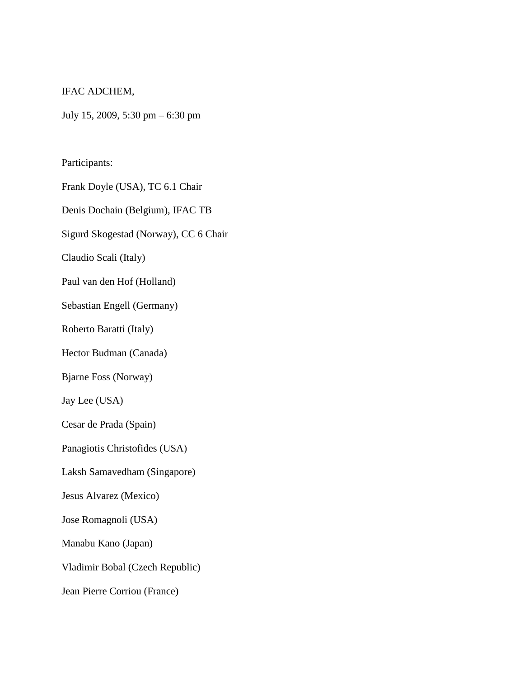## IFAC ADCHEM,

July 15, 2009, 5:30 pm – 6:30 pm

Participants:

Frank Doyle (USA), TC 6.1 Chair

Denis Dochain (Belgium), IFAC TB

Sigurd Skogestad (Norway), CC 6 Chair

Claudio Scali (Italy)

Paul van den Hof (Holland)

Sebastian Engell (Germany)

Roberto Baratti (Italy)

Hector Budman (Canada)

Bjarne Foss (Norway)

Jay Lee (USA)

Cesar de Prada (Spain)

Panagiotis Christofides (USA)

Laksh Samavedham (Singapore)

Jesus Alvarez (Mexico)

Jose Romagnoli (USA)

Manabu Kano (Japan)

Vladimir Bobal (Czech Republic)

Jean Pierre Corriou (France)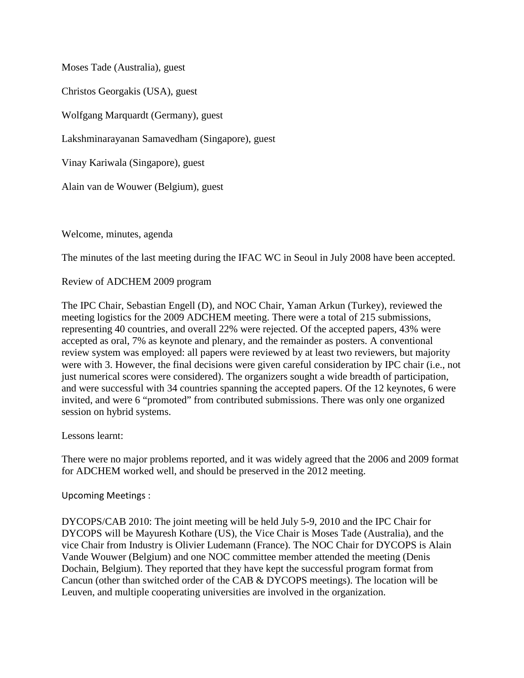Moses Tade (Australia), guest

Christos Georgakis (USA), guest

Wolfgang Marquardt (Germany), guest

Lakshminarayanan Samavedham (Singapore), guest

Vinay Kariwala (Singapore), guest

Alain van de Wouwer (Belgium), guest

Welcome, minutes, agenda

The minutes of the last meeting during the IFAC WC in Seoul in July 2008 have been accepted.

Review of ADCHEM 2009 program

The IPC Chair, Sebastian Engell (D), and NOC Chair, Yaman Arkun (Turkey), reviewed the meeting logistics for the 2009 ADCHEM meeting. There were a total of 215 submissions, representing 40 countries, and overall 22% were rejected. Of the accepted papers, 43% were accepted as oral, 7% as keynote and plenary, and the remainder as posters. A conventional review system was employed: all papers were reviewed by at least two reviewers, but majority were with 3. However, the final decisions were given careful consideration by IPC chair (i.e., not just numerical scores were considered). The organizers sought a wide breadth of participation, and were successful with 34 countries spanning the accepted papers. Of the 12 keynotes, 6 were invited, and were 6 "promoted" from contributed submissions. There was only one organized session on hybrid systems.

Lessons learnt:

There were no major problems reported, and it was widely agreed that the 2006 and 2009 format for ADCHEM worked well, and should be preserved in the 2012 meeting.

Upcoming Meetings :

DYCOPS/CAB 2010: The joint meeting will be held July 5-9, 2010 and the IPC Chair for DYCOPS will be Mayuresh Kothare (US), the Vice Chair is Moses Tade (Australia), and the vice Chair from Industry is Olivier Ludemann (France). The NOC Chair for DYCOPS is Alain Vande Wouwer (Belgium) and one NOC committee member attended the meeting (Denis Dochain, Belgium). They reported that they have kept the successful program format from Cancun (other than switched order of the CAB & DYCOPS meetings). The location will be Leuven, and multiple cooperating universities are involved in the organization.